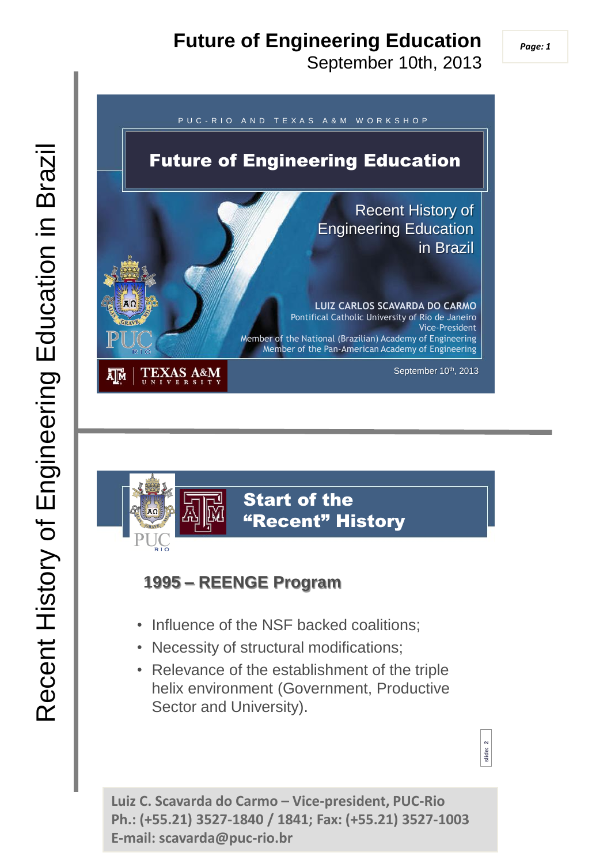### **Future of Engineering Education**

September 10th, 2013

**slide: 2**





#### **1995 – REENGE Program**

- Influence of the NSF backed coalitions;
- Necessity of structural modifications;
- Relevance of the establishment of the triple helix environment (Government, Productive Sector and University).

**Luiz C. Scavarda do Carmo – Vice-president, PUC-Rio Ph.: (+55.21) 3527-1840 / 1841; Fax: (+55.21) 3527-1003 E-mail: scavarda@puc-rio.br**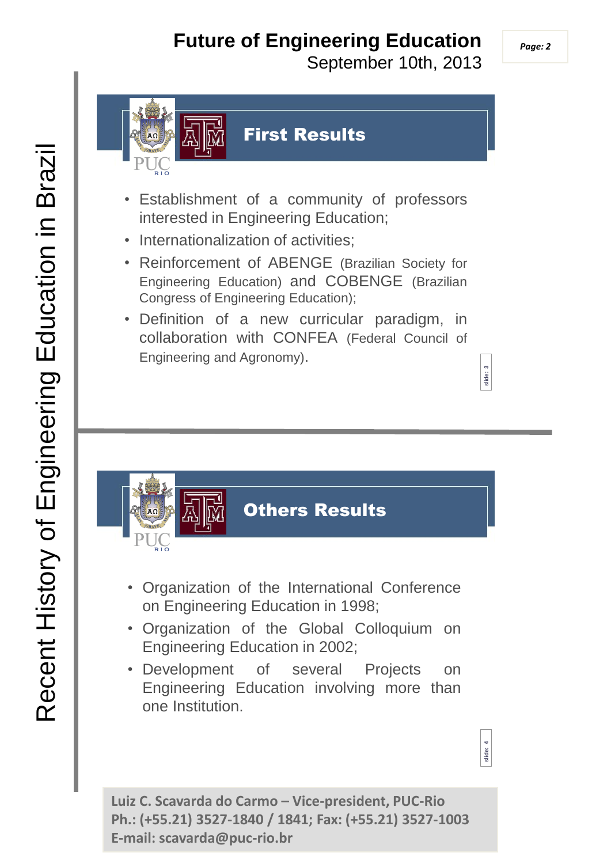# **Future of Engineering Education**

September 10th, 2013



#### First Results

- Establishment of a community of professors interested in Engineering Education;
- Internationalization of activities:
- Reinforcement of ABENGE (Brazilian Society for Engineering Education) and COBENGE (Brazilian Congress of Engineering Education);
- Definition of a new curricular paradigm, in collaboration with CONFEA (Federal Council of Engineering and Agronomy).



- Organization of the International Conference on Engineering Education in 1998;
- Organization of the Global Colloquium on Engineering Education in 2002;
- Development of several Projects on Engineering Education involving more than one Institution.

**Luiz C. Scavarda do Carmo – Vice-president, PUC-Rio Ph.: (+55.21) 3527-1840 / 1841; Fax: (+55.21) 3527-1003 E-mail: scavarda@puc-rio.br** 

**slide: 3**

**slide: 4**